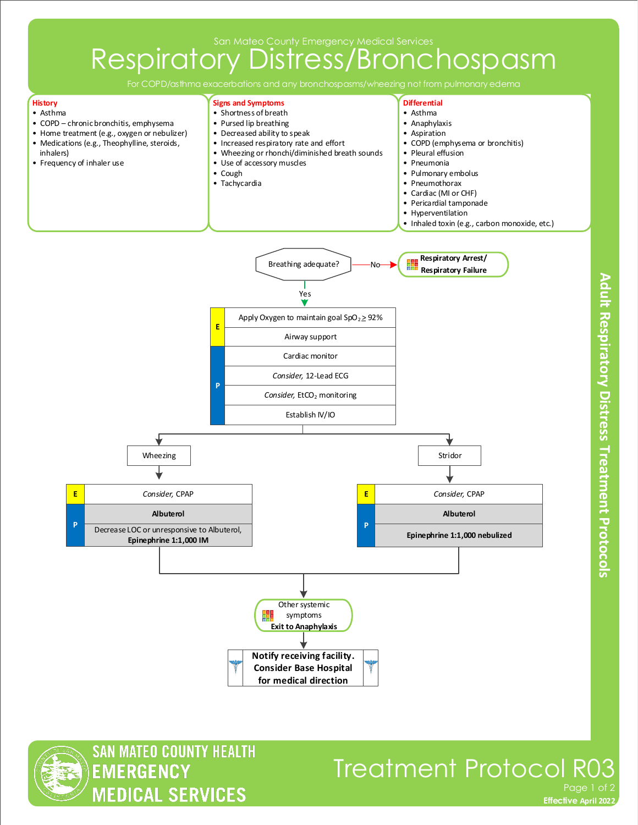San Mateo County Emergency Medical Services

## Respiratory Distress/Bronchospasm



**SAN MATEO COUNTY HEALTH** 

**MEDICAL SERVICES** 

**EMERGENCY** 

Adult Respiratory Distress Treatment Protocols

**Effective November 2018 Effective April 2022**

Page 1 of

Treatment Protocol R03